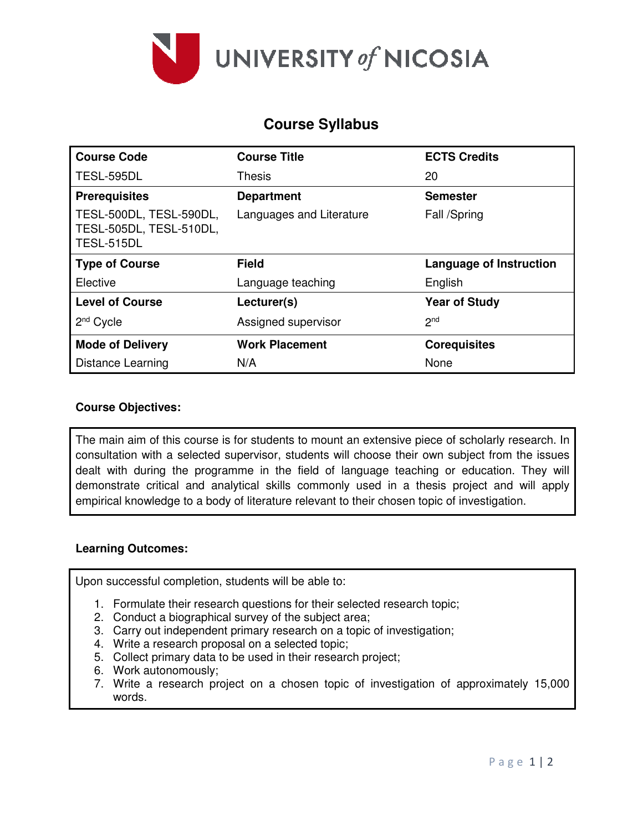

# **Course Syllabus**

| <b>Course Code</b>                                               | <b>Course Title</b>      | <b>ECTS Credits</b>            |
|------------------------------------------------------------------|--------------------------|--------------------------------|
| TESL-595DL                                                       | <b>Thesis</b>            | 20                             |
| <b>Prerequisites</b>                                             | <b>Department</b>        | <b>Semester</b>                |
| TESL-500DL, TESL-590DL,<br>TESL-505DL, TESL-510DL,<br>TESL-515DL | Languages and Literature | Fall /Spring                   |
| <b>Type of Course</b>                                            | <b>Field</b>             | <b>Language of Instruction</b> |
| Elective                                                         | Language teaching        | English                        |
| <b>Level of Course</b>                                           | Lecturer(s)              | <b>Year of Study</b>           |
| $2nd$ Cycle                                                      | Assigned supervisor      | 2 <sub>nd</sub>                |
| <b>Mode of Delivery</b>                                          | <b>Work Placement</b>    | <b>Corequisites</b>            |
| Distance Learning                                                | N/A                      | None                           |

## **Course Objectives:**

The main aim of this course is for students to mount an extensive piece of scholarly research. In consultation with a selected supervisor, students will choose their own subject from the issues dealt with during the programme in the field of language teaching or education. They will demonstrate critical and analytical skills commonly used in a thesis project and will apply empirical knowledge to a body of literature relevant to their chosen topic of investigation.

#### **Learning Outcomes:**

Upon successful completion, students will be able to:

- 1. Formulate their research questions for their selected research topic;
- 2. Conduct a biographical survey of the subject area;
- 3. Carry out independent primary research on a topic of investigation;
- 4. Write a research proposal on a selected topic;
- 5. Collect primary data to be used in their research project;
- 6. Work autonomously;
- 7. Write a research project on a chosen topic of investigation of approximately 15,000 words.